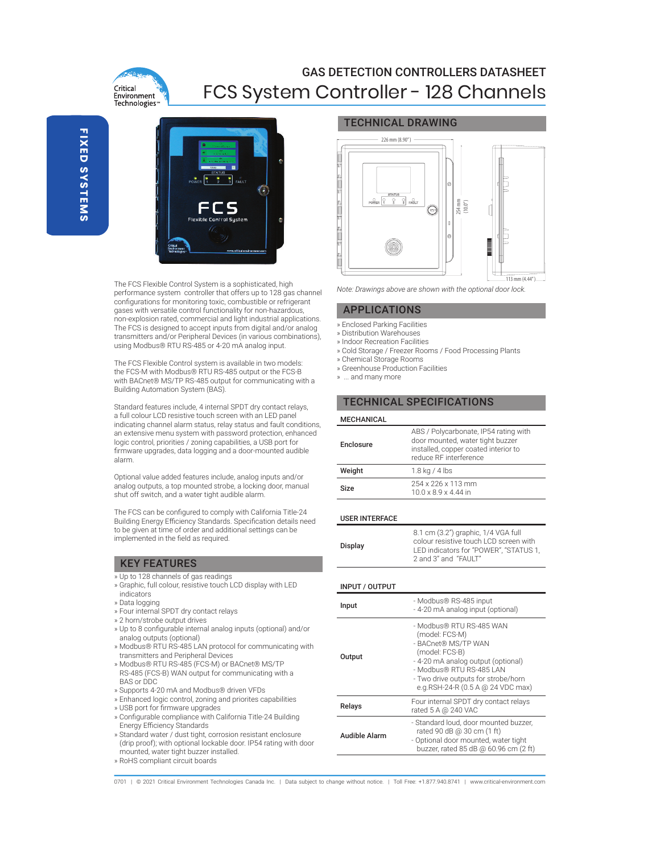

# GAS DETECTION CONTROLLERS DATASHEET FCS System Controller - 128 Channels



The FCS Flexible Control System is a sophisticated, high performance system controller that offers up to 128 gas channel configurations for monitoring toxic, combustible or refrigerant gases with versatile control functionality for non-hazardous, non-explosion rated, commercial and light industrial applications. The FCS is designed to accept inputs from digital and/or analog transmitters and/or Peripheral Devices (in various combinations), using Modbus® RTU RS-485 or 4-20 mA analog input.

The FCS Flexible Control system is available in two models: the FCS-M with Modbus® RTU RS-485 output or the FCS-B with BACnet® MS/TP RS-485 output for communicating with a Building Automation System (BAS).

Standard features include, 4 internal SPDT dry contact relays, a full colour LCD resistive touch screen with an LED panel indicating channel alarm status, relay status and fault conditions, an extensive menu system with password protection, enhanced logic control, priorities / zoning capabilities, a USB port for firmware upgrades, data logging and a door-mounted audible alarm.

Optional value added features include, analog inputs and/or analog outputs, a top mounted strobe, a locking door, manual shut off switch, and a water tight audible alarm.

The FCS can be configured to comply with California Title-24 Building Energy Efficiency Standards. Specification details need to be given at time of order and additional settings can be implemented in the field as required.

# KEY FEATURES

- » Up to 128 channels of gas readings
- » Graphic, full colour, resistive touch LCD display with LED indicators
- » Data logging
- » Four internal SPDT dry contact relays
- » 2 horn/strobe output drives
- » Up to 8 configurable internal analog inputs (optional) and/or analog outputs (optional)
- » Modbus® RTU RS-485 LAN protocol for communicating with transmitters and Peripheral Devices
- » Modbus® RTU RS-485 (FCS-M) or BACnet® MS/TP RS-485 (FCS-B) WAN output for communicating with a BAS or DDC
- » Supports 4-20 mA and Modbus® driven VFDs
- » Enhanced logic control, zoning and priorites capabilities
- » USB port for firmware upgrades
- » Configurable compliance with California Title-24 Building Energy Efficiency Standards
- » Standard water / dust tight, corrosion resistant enclosure (drip proof); with optional lockable door. IP54 rating with door mounted, water tight buzzer installed.
- » RoHS compliant circuit boards

### TECHNICAL DRAWING



*Note: Drawings above are shown with the optional door lock.*

### APPLICATIONS

- » Enclosed Parking Facilities
- » Distribution Warehouses
- » Indoor Recreation Facilities
- » Cold Storage / Freezer Rooms / Food Processing Plants
- » Chemical Storage Rooms
- » Greenhouse Production Facilities
- » ... and many more

# TECHNICAL SPECIFICATIONS

### MECHANICAL

| Enclosure | ABS / Polycarbonate, IP54 rating with<br>door mounted, water tight buzzer<br>installed, copper coated interior to<br>reduce RF interference |
|-----------|---------------------------------------------------------------------------------------------------------------------------------------------|
| Weight    | $1.8$ kg / 4 lbs                                                                                                                            |
| Size      | 254 x 226 x 113 mm<br>$10.0 \times 8.9 \times 4.44$ in                                                                                      |

#### USER INTERFACE

| Display | 8.1 cm (3.2") graphic, 1/4 VGA full<br>colour resistive touch LCD screen with<br>LED indicators for "POWER". "STATUS 1.<br>2 and 3" and "FAULT" |
|---------|-------------------------------------------------------------------------------------------------------------------------------------------------|
|---------|-------------------------------------------------------------------------------------------------------------------------------------------------|

| <b>INPUT / OUTPUT</b> |                                                                                                                                                                                                                                   |
|-----------------------|-----------------------------------------------------------------------------------------------------------------------------------------------------------------------------------------------------------------------------------|
| Input                 | - Modbus® RS-485 input<br>- 4-20 mA analog input (optional)                                                                                                                                                                       |
| Output                | - Modbus® RTU RS-485 WAN<br>(model: FCS-M)<br>- BACnet® MS/TP WAN<br>(model: FCS-B)<br>- 4-20 mA analog output (optional)<br>- Modbus® RTU RS-485 LAN<br>- Two drive outputs for strobe/horn<br>e.g.RSH-24-R (0.5 A @ 24 VDC max) |
| Relays                | Four internal SPDT dry contact relays<br>rated 5 A @ 240 VAC                                                                                                                                                                      |
| <b>Audible Alarm</b>  | - Standard loud, door mounted buzzer,<br>rated 90 dB @ 30 cm (1 ft)<br>- Optional door mounted, water tight<br>buzzer, rated 85 dB @ 60.96 cm (2 ft)                                                                              |
|                       |                                                                                                                                                                                                                                   |

0701 | @ 2021 Critical Environment Technologies Canada Inc. | Data subject to change without notice. | Toll Free: +1.877.940.8741 | www.critical-environment.com